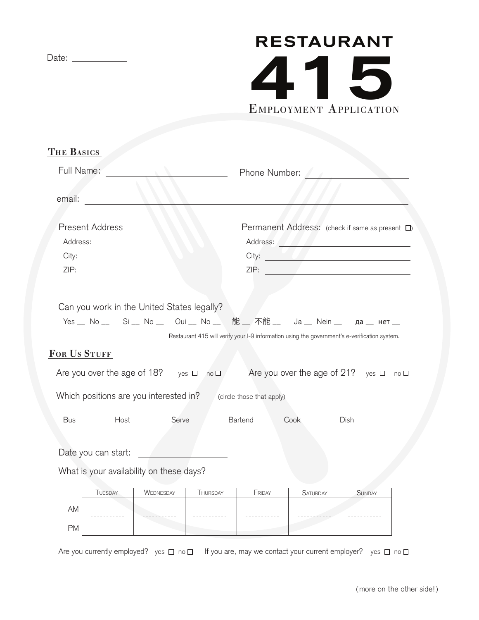PM

## EMPLOYMENT APPLICATION **RESTAURANT**

| <b>THE BASICS</b>                                |                                                                                                                                                                                                                                |
|--------------------------------------------------|--------------------------------------------------------------------------------------------------------------------------------------------------------------------------------------------------------------------------------|
| Full Name:                                       | Phone Number:                                                                                                                                                                                                                  |
|                                                  |                                                                                                                                                                                                                                |
| email:                                           |                                                                                                                                                                                                                                |
| <b>Present Address</b>                           | Permanent Address: (check if same as present $\square$ )                                                                                                                                                                       |
| Address:                                         | Address: Alexander Management and School and School and School and School and School and School and School and School and School and School and School and School and School and School and School and School and School and S |
|                                                  | City:                                                                                                                                                                                                                          |
|                                                  |                                                                                                                                                                                                                                |
|                                                  |                                                                                                                                                                                                                                |
| Can you work in the United States legally?       |                                                                                                                                                                                                                                |
|                                                  | Yes _ No _ Si _ No _ Oui _ No _ 能 _ 不能 _ Ja _ Nein _ да _ нет _                                                                                                                                                                |
|                                                  | Restaurant 415 will verify your I-9 information using the government's e-verification system.                                                                                                                                  |
| FOR US STUFF                                     |                                                                                                                                                                                                                                |
| Are you over the age of 18? yes $\Box$ no $\Box$ | Are you over the age of 21? yes $\Box$ no $\Box$                                                                                                                                                                               |
| Which positions are you interested in?           | (circle those that apply)                                                                                                                                                                                                      |
| Host<br>Serve<br>Bus                             | Bartend<br>Cook<br>Dish                                                                                                                                                                                                        |
|                                                  |                                                                                                                                                                                                                                |
| Date you can start:                              |                                                                                                                                                                                                                                |
| What is your availability on these days?         |                                                                                                                                                                                                                                |
|                                                  |                                                                                                                                                                                                                                |
| WEDNESDAY<br><b>TUESDAY</b><br>THURSDAY          | FRIDAY<br><b>SATURDAY</b><br><b>SUNDAY</b>                                                                                                                                                                                     |
| AM                                               |                                                                                                                                                                                                                                |

Are you currently employed? yes  $\Box$  no  $\Box$  If you are, may we contact your current employer? yes  $\Box$  no